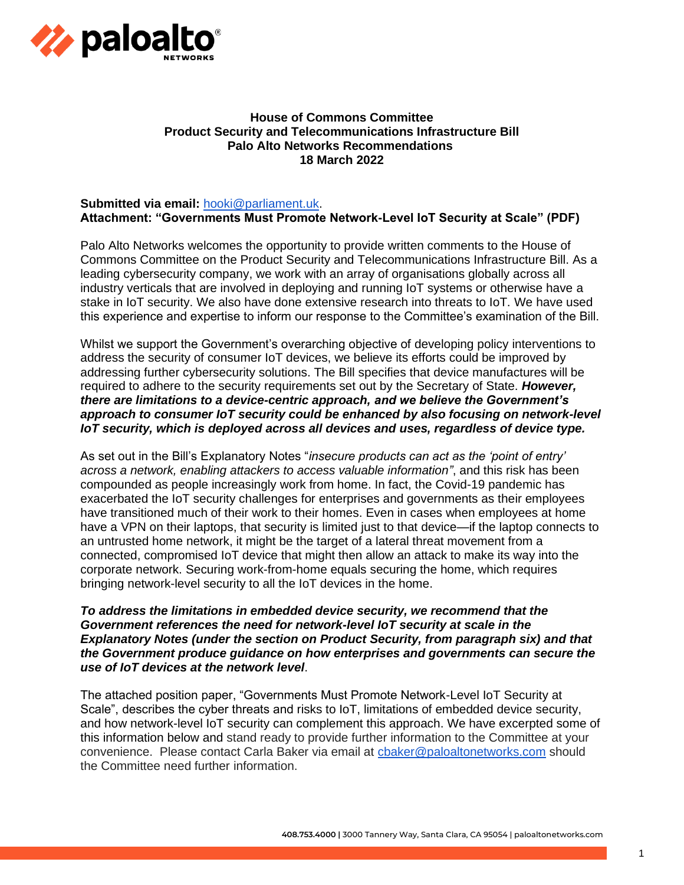

# **House of Commons Committee Product Security and Telecommunications Infrastructure Bill Palo Alto Networks Recommendations 18 March 2022**

#### **Submitted via email:** [hooki@parliament.uk.](mailto:hooki@parliament.uk) **Attachment: "Governments Must Promote Network-Level IoT Security at Scale" (PDF)**

Palo Alto Networks welcomes the opportunity to provide written comments to the House of Commons Committee on the Product Security and Telecommunications Infrastructure Bill. As a leading cybersecurity company, we work with an array of organisations globally across all industry verticals that are involved in deploying and running IoT systems or otherwise have a stake in IoT security. We also have done extensive research into threats to IoT. We have used this experience and expertise to inform our response to the Committee's examination of the Bill.

Whilst we support the Government's overarching objective of developing policy interventions to address the security of consumer IoT devices, we believe its efforts could be improved by addressing further cybersecurity solutions. The Bill specifies that device manufactures will be required to adhere to the security requirements set out by the Secretary of State. *However, there are limitations to a device-centric approach, and we believe the Government's approach to consumer IoT security could be enhanced by also focusing on network-level IoT security, which is deployed across all devices and uses, regardless of device type.*

As set out in the Bill's Explanatory Notes "*insecure products can act as the 'point of entry' across a network, enabling attackers to access valuable information"*, and this risk has been compounded as people increasingly work from home. In fact, the Covid-19 pandemic has exacerbated the IoT security challenges for enterprises and governments as their employees have transitioned much of their work to their homes. Even in cases when employees at home have a VPN on their laptops, that security is limited just to that device—if the laptop connects to an untrusted home network, it might be the target of a lateral threat movement from a connected, compromised IoT device that might then allow an attack to make its way into the corporate network. Securing work-from-home equals securing the home, which requires bringing network-level security to all the IoT devices in the home.

# *To address the limitations in embedded device security, we recommend that the Government references the need for network-level IoT security at scale in the Explanatory Notes (under the section on Product Security, from paragraph six) and that the Government produce guidance on how enterprises and governments can secure the use of IoT devices at the network level*.

The attached position paper, "Governments Must Promote Network-Level IoT Security at Scale", describes the cyber threats and risks to IoT, limitations of embedded device security, and how network-level IoT security can complement this approach. We have excerpted some of this information below and stand ready to provide further information to the Committee at your convenience. Please contact Carla Baker via email at [cbaker@paloaltonetworks.com](mailto:cbaker@paloaltonetworks.com) should the Committee need further information.